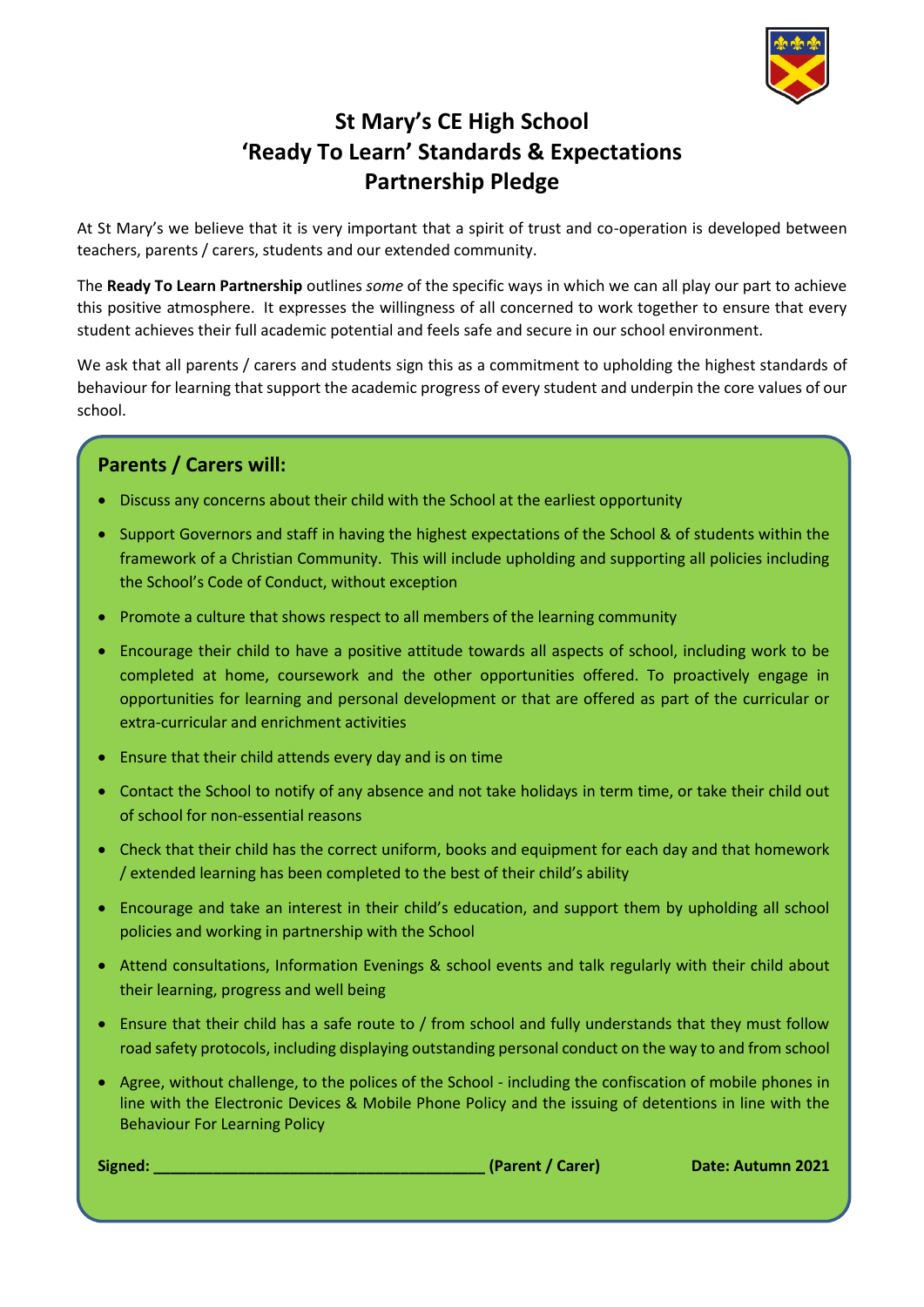

## **St Mary's CE High School 'Ready To Learn' Standards & Expectations Partnership Pledge**

At St Mary's we believe that it is very important that a spirit of trust and co-operation is developed between teachers, parents / carers, students and our extended community.

The **Ready To Learn Partnership** outlines *some* of the specific ways in which we can all play our part to achieve this positive atmosphere. It expresses the willingness of all concerned to work together to ensure that every student achieves their full academic potential and feels safe and secure in our school environment.

We ask that all parents / carers and students sign this as a commitment to upholding the highest standards of behaviour for learning that support the academic progress of every student and underpin the core values of our school.

## **Parents / Carers will:**

- Discuss any concerns about their child with the School at the earliest opportunity
- Support Governors and staff in having the highest expectations of the School & of students within the framework of a Christian Community. This will include upholding and supporting all policies including the School's Code of Conduct, without exception
- Promote a culture that shows respect to all members of the learning community
- Encourage their child to have a positive attitude towards all aspects of school, including work to be completed at home, coursework and the other opportunities offered. To proactively engage in opportunities for learning and personal development or that are offered as part of the curricular or extra-curricular and enrichment activities
- Ensure that their child attends every day and is on time
- Contact the School to notify of any absence and not take holidays in term time, or take their child out of school for non-essential reasons
- Check that their child has the correct uniform, books and equipment for each day and that homework / extended learning has been completed to the best of their child's ability
- Encourage and take an interest in their child's education, and support them by upholding all school policies and working in partnership with the School
- Attend consultations, Information Evenings & school events and talk regularly with their child about their learning, progress and well being
- Ensure that their child has a safe route to / from school and fully understands that they must follow road safety protocols, including displaying outstanding personal conduct on the way to and from school
- Agree, without challenge, to the polices of the School including the confiscation of mobile phones in line with the Electronic Devices & Mobile Phone Policy and the issuing of detentions in line with the Behaviour For Learning Policy

**Signed: \_\_\_\_\_\_\_\_\_\_\_\_\_\_\_\_\_\_\_\_\_\_\_\_\_\_\_\_\_\_\_\_\_\_\_\_\_\_\_ (Parent / Carer) Date: Autumn 2021**